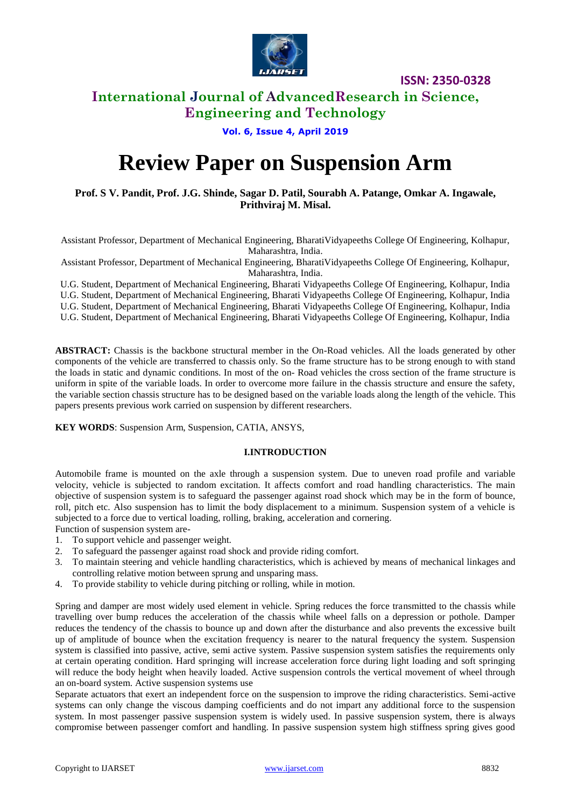

**ISSN: 2350-0328**

# **International Journal of AdvancedResearch in Science,**

**Engineering and Technology**

# **Vol. 6, Issue 4, April 2019**

# **Review Paper on Suspension Arm**

**Prof. S V. Pandit, Prof. J.G. Shinde, Sagar D. Patil, Sourabh A. Patange, Omkar A. Ingawale, Prithviraj M. Misal.**

Assistant Professor, Department of Mechanical Engineering, BharatiVidyapeeths College Of Engineering, Kolhapur, Maharashtra, India.

Assistant Professor, Department of Mechanical Engineering, BharatiVidyapeeths College Of Engineering, Kolhapur, Maharashtra, India.

U.G. Student, Department of Mechanical Engineering, Bharati Vidyapeeths College Of Engineering, Kolhapur, India U.G. Student, Department of Mechanical Engineering, Bharati Vidyapeeths College Of Engineering, Kolhapur, India

U.G. Student, Department of Mechanical Engineering, Bharati Vidyapeeths College Of Engineering, Kolhapur, India

U.G. Student, Department of Mechanical Engineering, Bharati Vidyapeeths College Of Engineering, Kolhapur, India

**ABSTRACT:** Chassis is the backbone structural member in the On-Road vehicles. All the loads generated by other components of the vehicle are transferred to chassis only. So the frame structure has to be strong enough to with stand the loads in static and dynamic conditions. In most of the on- Road vehicles the cross section of the frame structure is uniform in spite of the variable loads. In order to overcome more failure in the chassis structure and ensure the safety, the variable section chassis structure has to be designed based on the variable loads along the length of the vehicle. This papers presents previous work carried on suspension by different researchers.

**KEY WORDS**: Suspension Arm, Suspension, CATIA, ANSYS,

## **I.INTRODUCTION**

Automobile frame is mounted on the axle through a suspension system. Due to uneven road profile and variable velocity, vehicle is subjected to random excitation. It affects comfort and road handling characteristics. The main objective of suspension system is to safeguard the passenger against road shock which may be in the form of bounce, roll, pitch etc. Also suspension has to limit the body displacement to a minimum. Suspension system of a vehicle is subjected to a force due to vertical loading, rolling, braking, acceleration and cornering.

Function of suspension system are-

- 1. To support vehicle and passenger weight.
- 2. To safeguard the passenger against road shock and provide riding comfort.
- 3. To maintain steering and vehicle handling characteristics, which is achieved by means of mechanical linkages and controlling relative motion between sprung and unsparing mass.
- 4. To provide stability to vehicle during pitching or rolling, while in motion.

Spring and damper are most widely used element in vehicle. Spring reduces the force transmitted to the chassis while travelling over bump reduces the acceleration of the chassis while wheel falls on a depression or pothole. Damper reduces the tendency of the chassis to bounce up and down after the disturbance and also prevents the excessive built up of amplitude of bounce when the excitation frequency is nearer to the natural frequency the system. Suspension system is classified into passive, active, semi active system. Passive suspension system satisfies the requirements only at certain operating condition. Hard springing will increase acceleration force during light loading and soft springing will reduce the body height when heavily loaded. Active suspension controls the vertical movement of wheel through an on-board system. Active suspension systems use

Separate actuators that exert an independent force on the suspension to improve the riding characteristics. Semi-active systems can only change the viscous damping coefficients and do not impart any additional force to the suspension system. In most passenger passive suspension system is widely used. In passive suspension system, there is always compromise between passenger comfort and handling. In passive suspension system high stiffness spring gives good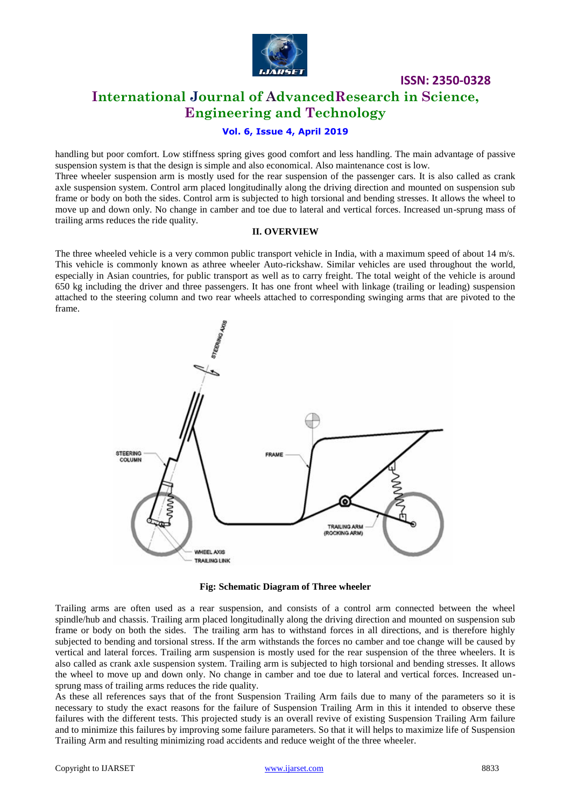

# **ISSN: 2350-0328 International Journal of AdvancedResearch in Science, Engineering and Technology**

# **Vol. 6, Issue 4, April 2019**

handling but poor comfort. Low stiffness spring gives good comfort and less handling. The main advantage of passive suspension system is that the design is simple and also economical. Also maintenance cost is low. Three wheeler suspension arm is mostly used for the rear suspension of the passenger cars. It is also called as crank axle suspension system. Control arm placed longitudinally along the driving direction and mounted on suspension sub frame or body on both the sides. Control arm is subjected to high torsional and bending stresses. It allows the wheel to move up and down only. No change in camber and toe due to lateral and vertical forces. Increased un-sprung mass of

#### **II. OVERVIEW**

The three wheeled vehicle is a very common public transport vehicle in India, with a maximum speed of about 14 m/s. This vehicle is commonly known as athree wheeler Auto-rickshaw. Similar vehicles are used throughout the world, especially in Asian countries, for public transport as well as to carry freight. The total weight of the vehicle is around 650 kg including the driver and three passengers. It has one front wheel with linkage (trailing or leading) suspension attached to the steering column and two rear wheels attached to corresponding swinging arms that are pivoted to the frame.



**Fig: Schematic Diagram of Three wheeler**

Trailing arms are often used as a rear suspension, and consists of a control arm connected between the wheel spindle/hub and chassis. Trailing arm placed longitudinally along the driving direction and mounted on suspension sub frame or body on both the sides. The trailing arm has to withstand forces in all directions, and is therefore highly subjected to bending and torsional stress. If the arm withstands the forces no camber and toe change will be caused by vertical and lateral forces. Trailing arm suspension is mostly used for the rear suspension of the three wheelers. It is also called as crank axle suspension system. Trailing arm is subjected to high torsional and bending stresses. It allows the wheel to move up and down only. No change in camber and toe due to lateral and vertical forces. Increased unsprung mass of trailing arms reduces the ride quality.

As these all references says that of the front Suspension Trailing Arm fails due to many of the parameters so it is necessary to study the exact reasons for the failure of Suspension Trailing Arm in this it intended to observe these failures with the different tests. This projected study is an overall revive of existing Suspension Trailing Arm failure and to minimize this failures by improving some failure parameters. So that it will helps to maximize life of Suspension Trailing Arm and resulting minimizing road accidents and reduce weight of the three wheeler.

trailing arms reduces the ride quality.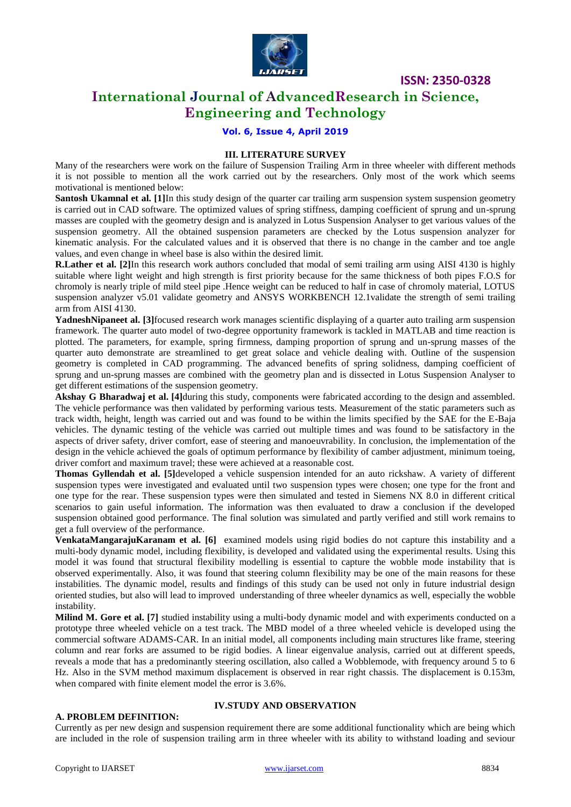

**ISSN: 2350-0328**

# **International Journal of AdvancedResearch in Science, Engineering and Technology**

**Vol. 6, Issue 4, April 2019**

## **III. LITERATURE SURVEY**

Many of the researchers were work on the failure of Suspension Trailing Arm in three wheeler with different methods it is not possible to mention all the work carried out by the researchers. Only most of the work which seems motivational is mentioned below:

**Santosh Ukamnal et al.** [1]In this study design of the quarter car trailing arm suspension system suspension geometry is carried out in CAD software. The optimized values of spring stiffness, damping coefficient of sprung and un-sprung masses are coupled with the geometry design and is analyzed in Lotus Suspension Analyser to get various values of the suspension geometry. All the obtained suspension parameters are checked by the Lotus suspension analyzer for kinematic analysis. For the calculated values and it is observed that there is no change in the camber and toe angle values, and even change in wheel base is also within the desired limit.

**R.Lather et al.** [2]In this research work authors concluded that modal of semi trailing arm using AISI 4130 is highly suitable where light weight and high strength is first priority because for the same thickness of both pipes F.O.S for chromoly is nearly triple of mild steel pipe .Hence weight can be reduced to half in case of chromoly material, LOTUS suspension analyzer v5.01 validate geometry and ANSYS WORKBENCH 12.1validate the strength of semi trailing arm from AISI 4130.

YadneshNipaneet al. [3]focused research work manages scientific displaying of a quarter auto trailing arm suspension framework. The quarter auto model of two-degree opportunity framework is tackled in MATLAB and time reaction is plotted. The parameters, for example, spring firmness, damping proportion of sprung and un-sprung masses of the quarter auto demonstrate are streamlined to get great solace and vehicle dealing with. Outline of the suspension geometry is completed in CAD programming. The advanced benefits of spring solidness, damping coefficient of sprung and un-sprung masses are combined with the geometry plan and is dissected in Lotus Suspension Analyser to get different estimations of the suspension geometry.

**Akshay G Bharadwaj et al. [4]**during this study, components were fabricated according to the design and assembled. The vehicle performance was then validated by performing various tests. Measurement of the static parameters such as track width, height, length was carried out and was found to be within the limits specified by the SAE for the E-Baja vehicles. The dynamic testing of the vehicle was carried out multiple times and was found to be satisfactory in the aspects of driver safety, driver comfort, ease of steering and manoeuvrability. In conclusion, the implementation of the design in the vehicle achieved the goals of optimum performance by flexibility of camber adjustment, minimum toeing, driver comfort and maximum travel; these were achieved at a reasonable cost.

**Thomas Gyllendah et al. [5]**developed a vehicle suspension intended for an auto rickshaw. A variety of different suspension types were investigated and evaluated until two suspension types were chosen; one type for the front and one type for the rear. These suspension types were then simulated and tested in Siemens NX 8.0 in different critical scenarios to gain useful information. The information was then evaluated to draw a conclusion if the developed suspension obtained good performance. The final solution was simulated and partly verified and still work remains to get a full overview of the performance.

**VenkataMangarajuKaranam et al. [6]** examined models using rigid bodies do not capture this instability and a multi-body dynamic model, including flexibility, is developed and validated using the experimental results. Using this model it was found that structural flexibility modelling is essential to capture the wobble mode instability that is observed experimentally. Also, it was found that steering column flexibility may be one of the main reasons for these instabilities. The dynamic model, results and findings of this study can be used not only in future industrial design oriented studies, but also will lead to improved understanding of three wheeler dynamics as well, especially the wobble instability.

**Milind M. Gore et al. [7]** studied instability using a multi-body dynamic model and with experiments conducted on a prototype three wheeled vehicle on a test track. The MBD model of a three wheeled vehicle is developed using the commercial software ADAMS-CAR. In an initial model, all components including main structures like frame, steering column and rear forks are assumed to be rigid bodies. A linear eigenvalue analysis, carried out at different speeds, reveals a mode that has a predominantly steering oscillation, also called a Wobblemode, with frequency around 5 to 6 Hz. Also in the SVM method maximum displacement is observed in rear right chassis. The displacement is 0.153m, when compared with finite element model the error is 3.6%.

#### **A. PROBLEM DEFINITION:**

# **IV.STUDY AND OBSERVATION**

Currently as per new design and suspension requirement there are some additional functionality which are being which are included in the role of suspension trailing arm in three wheeler with its ability to withstand loading and seviour